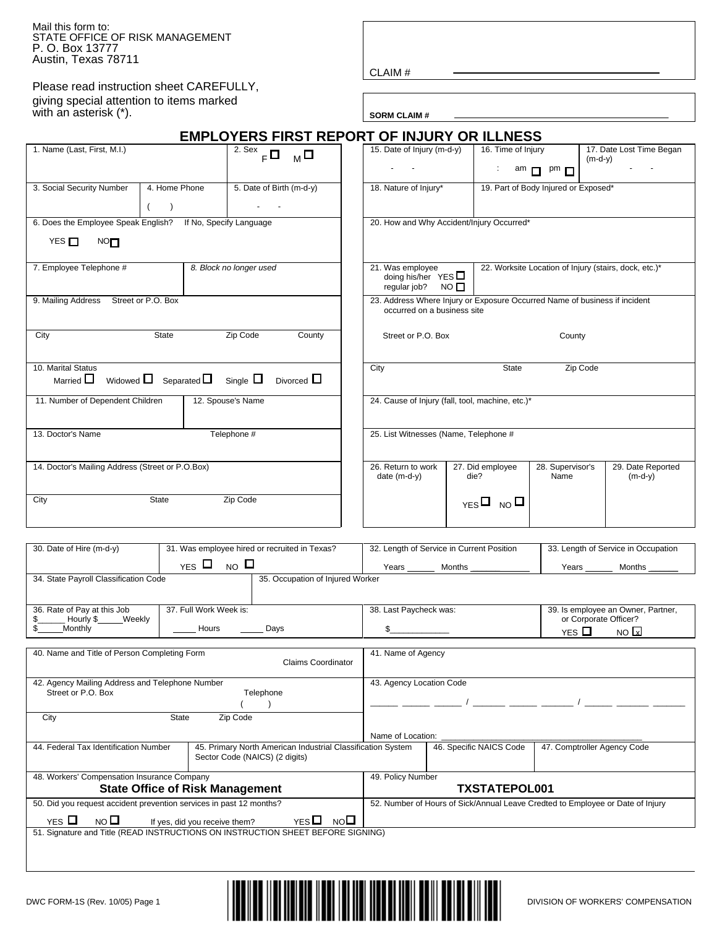Mail this form to: STATE OFFICE OF RISK MANAGEMENT P. O. Box 13777 Austin, Texas 78711

Please read instruction sheet CAREFULLY, giving special attention to items marked with an asterisk  $(*)$ .

CLAIM #

|                                                                                  |                                               | <b>EMPLOYERS FIRST REPORT OF INJURY OR ILLNESS</b> |                                                                                                           |                                                                      |                                                     |                                       |  |
|----------------------------------------------------------------------------------|-----------------------------------------------|----------------------------------------------------|-----------------------------------------------------------------------------------------------------------|----------------------------------------------------------------------|-----------------------------------------------------|---------------------------------------|--|
| 1. Name (Last, First, M.I.)                                                      |                                               | 2. Sex<br>$F^{\Box}$ M $\Box$                      | 15. Date of Injury (m-d-y)                                                                                | 16. Time of Injury                                                   | $\lambda$ <sup>am</sup> $\Box$ <sup>pm</sup> $\Box$ | 17. Date Lost Time Began<br>$(m-d-y)$ |  |
| 3. Social Security Number<br>4. Home Phone                                       |                                               | 5. Date of Birth (m-d-y)                           | 18. Nature of Injury*                                                                                     |                                                                      | 19. Part of Body Injured or Exposed*                |                                       |  |
| (                                                                                |                                               |                                                    |                                                                                                           |                                                                      |                                                     |                                       |  |
| 6. Does the Employee Speak English? If No, Specify Language<br>YES $\Box$<br>NOT |                                               |                                                    | 20. How and Why Accident/Injury Occurred*                                                                 |                                                                      |                                                     |                                       |  |
| 7. Employee Telephone #<br>8. Block no longer used                               |                                               |                                                    | 21. Was employee<br>doing his/her $YES$<br>regular job?                                                   | 22. Worksite Location of Injury (stairs, dock, etc.)*<br>$NO$ $\Box$ |                                                     |                                       |  |
| 9. Mailing Address Street or P.O. Box                                            |                                               |                                                    | 23. Address Where Injury or Exposure Occurred Name of business if incident<br>occurred on a business site |                                                                      |                                                     |                                       |  |
| City                                                                             | State                                         | Zip Code<br>County                                 | Street or P.O. Box<br>County                                                                              |                                                                      |                                                     |                                       |  |
| 10. Marital Status<br>Married $\Box$                                             | Widowed $\Box$ Separated $\Box$ Single $\Box$ | Divorced $\Box$                                    | City                                                                                                      | State                                                                | Zip Code                                            |                                       |  |
| 11. Number of Dependent Children                                                 |                                               | 12. Spouse's Name                                  | 24. Cause of Injury (fall, tool, machine, etc.)*                                                          |                                                                      |                                                     |                                       |  |
| 13. Doctor's Name                                                                |                                               | Telephone #                                        | 25. List Witnesses (Name, Telephone #                                                                     |                                                                      |                                                     |                                       |  |
| 14. Doctor's Mailing Address (Street or P.O.Box)                                 |                                               |                                                    | 26. Return to work<br>date $(m-d-y)$                                                                      | 27. Did employee<br>die?                                             | 28. Supervisor's<br>Name                            | 29. Date Reported<br>$(m-d-y)$        |  |
| Zip Code<br>City<br>State                                                        |                                               |                                                    |                                                                                                           | $_{YFS}$ $\square$ No $\square$                                      |                                                     |                                       |  |
|                                                                                  |                                               |                                                    |                                                                                                           |                                                                      |                                                     |                                       |  |
| 30. Date of Hire (m-d-y)                                                         |                                               | 31. Was employee hired or recruited in Texas?      | 32. Length of Service in Current Position                                                                 |                                                                      |                                                     | 33. Length of Service in Occupation   |  |

| Weekly<br>Hourly \$<br><b>Monthly</b>                                                                                             | Hours<br>Days                                                                  |                         |                             | or Corporate Officer?<br>NOx<br>$YES$ $\Box$ |  |  |  |
|-----------------------------------------------------------------------------------------------------------------------------------|--------------------------------------------------------------------------------|-------------------------|-----------------------------|----------------------------------------------|--|--|--|
| 40. Name and Title of Person Completing Form                                                                                      | 41. Name of Agency                                                             |                         |                             |                                              |  |  |  |
| 42. Agency Mailing Address and Telephone Number<br>Street or P.O. Box                                                             | 43. Agency Location Code                                                       |                         |                             |                                              |  |  |  |
| City                                                                                                                              | <b>State</b><br>Zip Code                                                       | Name of Location:       |                             |                                              |  |  |  |
| 44. Federal Tax Identification Number                                                                                             | 45. Primary North American Industrial Classification System                    | 46. Specific NAICS Code | 47. Comptroller Agency Code |                                              |  |  |  |
| 48. Workers' Compensation Insurance Company<br><b>State Office of Risk Management</b>                                             | 49. Policy Number<br><b>TXSTATEPOL001</b>                                      |                         |                             |                                              |  |  |  |
| 50. Did you request accident prevention services in past 12 months?<br>$YES$ $\Box$<br>NO $\Box$<br>If yes, did you receive them? | 52. Number of Hours of Sick/Annual Leave Credted to Employee or Date of Injury |                         |                             |                                              |  |  |  |
| 51. Signature and Title (READ INSTRUCTIONS ON INSTRUCTION SHEET BEFORE SIGNING)                                                   |                                                                                |                         |                             |                                              |  |  |  |

38. Last Paycheck was:

36. Rate of Pay at this Job

37. Full Work Week is:



39. Is employee an Owner, Partner,